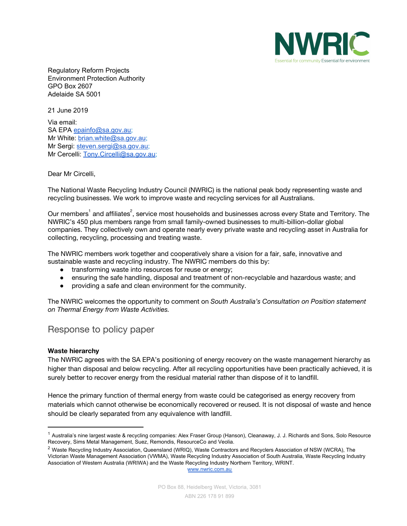

Regulatory Reform Projects Environment Protection Authority GPO Box 2607 Adelaide SA 5001

21 June 2019

Via email: SA EPA [epainfo@sa.gov.au](mailto:epainfo@sa.gov.au); Mr White: [brian.white@sa.gov.au](mailto:brian.white@sa.gov.au); Mr Sergi: [steven.sergi@sa.gov.au;](mailto:steven.sergi@sa.gov.au) Mr Cercelli: [Tony.Circelli@sa.gov.au;](mailto:Tony.Circelli@sa.gov.au)

## Dear Mr Circelli,

The National Waste Recycling Industry Council (NWRIC) is the national peak body representing waste and recycling businesses. We work to improve waste and recycling services for all Australians.

Our members<sup>1</sup> and affiliates<sup>2</sup>, service most households and businesses across every State and Territory. The NWRIC's 450 plus members range from small family-owned businesses to multi-billion-dollar global companies. They collectively own and operate nearly every private waste and recycling asset in Australia for collecting, recycling, processing and treating waste.

The NWRIC members work together and cooperatively share a vision for a fair, safe, innovative and sustainable waste and recycling industry. The NWRIC members do this by:

- **●** transforming waste into resources for reuse or energy;
- ensuring the safe handling, disposal and treatment of non-recyclable and hazardous waste; and
- **●** providing a safe and clean environment for the community.

The NWRIC welcomes the opportunity to comment on *South Australia's Consultation on Position statement on Thermal Energy from Waste Activities.*

# Response to policy paper

## **Waste hierarchy**

The NWRIC agrees with the SA EPA's positioning of energy recovery on the waste management hierarchy as higher than disposal and below recycling. After all recycling opportunities have been practically achieved, it is surely better to recover energy from the residual material rather than dispose of it to landfill.

Hence the primary function of thermal energy from waste could be categorised as energy recovery from materials which cannot otherwise be economically recovered or reused. It is not disposal of waste and hence should be clearly separated from any equivalence with landfill.

[www.nwric.com.au](http://www.nwric.com.au/)

<sup>&</sup>lt;sup>1</sup> Australia's nine largest waste & recycling companies: Alex Fraser Group (Hanson), Cleanaway, J. J. Richards and Sons, Solo Resource Recovery, Sims Metal Management, Suez, Remondis, ResourceCo and Veolia.

<sup>&</sup>lt;sup>2</sup> Waste Recycling Industry Association, Queensland (WRIQ), Waste Contractors and Recyclers Association of NSW (WCRA), The Victorian Waste Management Association (VWMA), Waste Recycling Industry Association of South Australia, Waste Recycling Industry Association of Western Australia (WRIWA) and the Waste Recycling Industry Northern Territory, WRINT.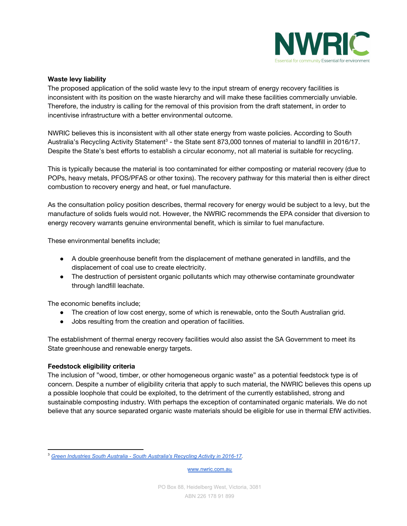

## **Waste levy liability**

The proposed application of the solid waste levy to the input stream of energy recovery facilities is inconsistent with its position on the waste hierarchy and will make these facilities commercially unviable. Therefore, the industry is calling for the removal of this provision from the draft statement, in order to incentivise infrastructure with a better environmental outcome.

NWRIC believes this is inconsistent with all other state energy from waste policies. According to South Australia's Recycling Activity Statement<sup>3</sup> - the State sent 873,000 tonnes of material to landfill in 2016/17. Despite the State's best efforts to establish a circular economy, not all material is suitable for recycling.

This is typically because the material is too contaminated for either composting or material recovery (due to POPs, heavy metals, PFOS/PFAS or other toxins). The recovery pathway for this material then is either direct combustion to recovery energy and heat, or fuel manufacture.

As the consultation policy position describes, thermal recovery for energy would be subject to a levy, but the manufacture of solids fuels would not. However, the NWRIC recommends the EPA consider that diversion to energy recovery warrants genuine environmental benefit, which is similar to fuel manufacture.

These environmental benefits include;

- A double greenhouse benefit from the displacement of methane generated in landfills, and the displacement of coal use to create electricity.
- The destruction of persistent organic pollutants which may otherwise contaminate groundwater through landfill leachate.

The economic benefits include;

- The creation of low cost energy, some of which is renewable, onto the South Australian grid.
- Jobs resulting from the creation and operation of facilities.

The establishment of thermal energy recovery facilities would also assist the SA Government to meet its State greenhouse and renewable energy targets.

## **Feedstock eligibility criteria**

The inclusion of "wood, timber, or other homogeneous organic waste" as a potential feedstock type is of concern. Despite a number of eligibility criteria that apply to such material, the NWRIC believes this opens up a possible loophole that could be exploited, to the detriment of the currently established, strong and sustainable composting industry. With perhaps the exception of contaminated organic materials. We do not believe that any source separated organic waste materials should be eligible for use in thermal EfW activities.

[www.nwric.com.au](http://www.nwric.com.au/)

<sup>3</sup> *Green Industries South Australia - South [Australia's](https://www.greenindustries.sa.gov.au/SArecycling) Recycling Activity in 2016-17.*